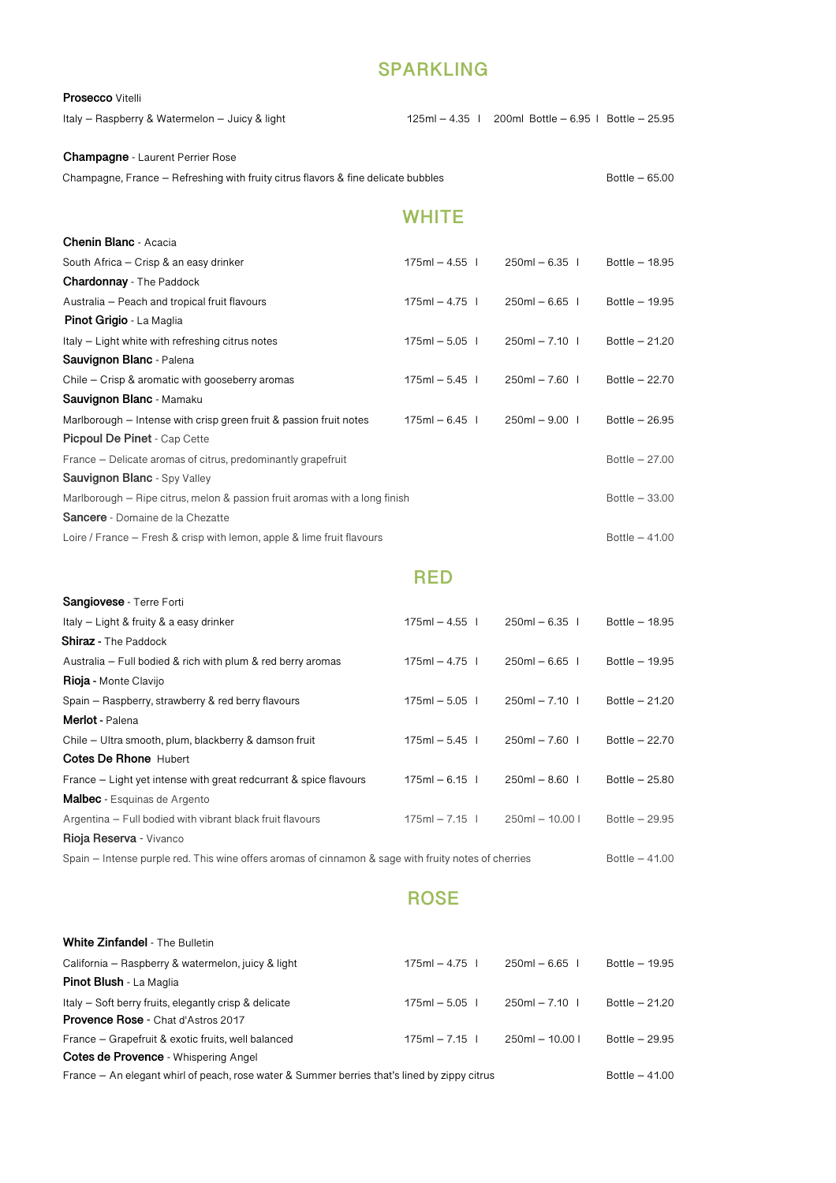## **SPARKLING**

#### **Prosecco** Vitelli

Italy – Raspberry & Watermelon – Juicy & light 125ml – 4.35 I 200ml Bottle – 6.95 I Bottle – 25.95

### **Champagne** - Laurent Perrier Rose

 $Champagne, France - Refreshing with fruits citizens of a fine delicate bubbles \nBottle - 65.00 \nBottle - 65.00$ 

# **WHITE**

| <b>Chenin Blanc</b> - Acacia                                               |                |                |                 |
|----------------------------------------------------------------------------|----------------|----------------|-----------------|
| South Africa – Crisp & an easy drinker                                     | $175ml - 4.55$ | $250ml - 6.35$ | Bottle $-18.95$ |
| <b>Chardonnay</b> - The Paddock                                            |                |                |                 |
| Australia – Peach and tropical fruit flavours                              | $175ml - 4.75$ | $250ml - 6.65$ | Bottle - 19.95  |
| <b>Pinot Grigio - La Maglia</b>                                            |                |                |                 |
| Italy – Light white with refreshing citrus notes                           | $175ml - 5.05$ | $250ml - 7.10$ | Bottle $-21.20$ |
| Sauvignon Blanc - Palena                                                   |                |                |                 |
| Chile – Crisp & aromatic with gooseberry aromas                            | $175ml - 5.45$ | $250ml - 7.60$ | Bottle $-22.70$ |
| Sauvignon Blanc - Mamaku                                                   |                |                |                 |
| Marlborough – Intense with crisp green fruit & passion fruit notes         | $175ml - 6.45$ | $250ml - 9.00$ | Bottle $-26.95$ |
| <b>Picpoul De Pinet - Cap Cette</b>                                        |                |                |                 |
| France – Delicate aromas of citrus, predominantly grapefruit               |                |                | Bottle $-27.00$ |
| Sauvignon Blanc - Spy Valley                                               |                |                |                 |
| Marlborough - Ripe citrus, melon & passion fruit aromas with a long finish |                |                | Bottle $-33.00$ |
| Sancere - Domaine de la Chezatte                                           |                |                |                 |
| Loire / France – Fresh & crisp with lemon, apple & lime fruit flavours     |                |                | Bottle $-41.00$ |

## **RED**

| <b>Sangiovese</b> - Terre Forti                                                                      |                |                  |                 |
|------------------------------------------------------------------------------------------------------|----------------|------------------|-----------------|
| Italy - Light & fruity & a easy drinker                                                              | $175ml - 4.55$ | $250ml - 6.35$   | Bottle $-18.95$ |
| <b>Shiraz</b> - The Paddock                                                                          |                |                  |                 |
| Australia – Full bodied & rich with plum & red berry aromas                                          | $175ml - 4.75$ | $250ml - 6.65$   | Bottle - 19.95  |
| <b>Rioja - Monte Clavijo</b>                                                                         |                |                  |                 |
| Spain – Raspberry, strawberry & red berry flavours                                                   | $175ml - 5.05$ | $250ml - 7.10$   | Bottle $-21.20$ |
| <b>Merlot</b> - Palena                                                                               |                |                  |                 |
| Chile – Ultra smooth, plum, blackberry & damson fruit                                                | $175ml - 5.45$ | $250ml - 7.60$   | Bottle $-22.70$ |
| <b>Cotes De Rhone Hubert</b>                                                                         |                |                  |                 |
| France – Light yet intense with great redcurrant & spice flavours                                    | $175ml - 6.15$ | $250ml - 8.60$   | Bottle $-25.80$ |
| <b>Malbec</b> - Esquinas de Argento                                                                  |                |                  |                 |
| Argentina – Full bodied with vibrant black fruit flavours                                            | $175ml - 7.15$ | $250ml - 10.00l$ | Bottle $-29.95$ |
| Rioja Reserva - Vivanco                                                                              |                |                  |                 |
| Spain – Intense purple red. This wine offers aromas of cinnamon & sage with fruity notes of cherries |                |                  | Bottle $-41.00$ |
|                                                                                                      |                |                  |                 |

## **ROSE**

| <b>White Zinfandel - The Bulletin</b>                                                        |                |                   |                 |
|----------------------------------------------------------------------------------------------|----------------|-------------------|-----------------|
| California – Raspberry & watermelon, juicy & light                                           | $175ml - 4.75$ | $250ml - 6.65$    | Bottle $-19.95$ |
| <b>Pinot Blush - La Maglia</b>                                                               |                |                   |                 |
| Italy – Soft berry fruits, elegantly crisp & delicate                                        | $175ml - 5.05$ | $250ml - 7.10$    | Bottle $-21.20$ |
| <b>Provence Rose - Chat d'Astros 2017</b>                                                    |                |                   |                 |
| France – Grapefruit & exotic fruits, well balanced                                           | $175ml - 7.15$ | $250ml - 10.00 l$ | Bottle $-29.95$ |
| Cotes de Provence - Whispering Angel                                                         |                |                   |                 |
| France – An elegant whirl of peach, rose water & Summer berries that's lined by zippy citrus |                |                   | Bottle $-41.00$ |